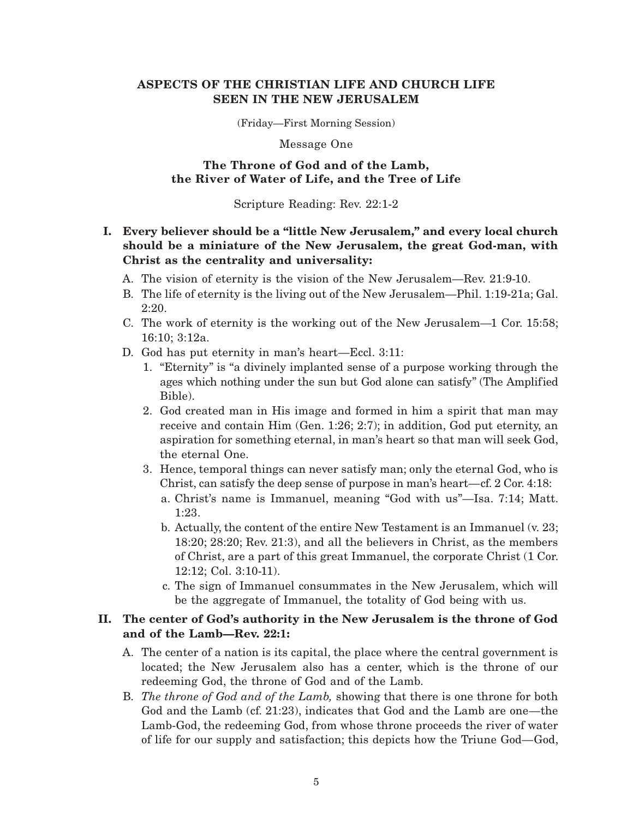# **ASPECTS OF THE CHRISTIAN LIFE AND CHURCH LIFE SEEN IN THE NEW JERUSALEM**

(Friday—First Morning Session)

Message One

## **The Throne of God and of the Lamb, the River of Water of Life, and the Tree of Life**

Scripture Reading: Rev. 22:1-2

# **I. Every believer should be a "little New Jerusalem," and every local church should be a miniature of the New Jerusalem, the great God-man, with Christ as the centrality and universality:**

- A. The vision of eternity is the vision of the New Jerusalem—Rev. 21:9-10.
- B. The life of eternity is the living out of the New Jerusalem—Phil. 1:19-21a; Gal. 2:20.
- C. The work of eternity is the working out of the New Jerusalem—1 Cor. 15:58; 16:10; 3:12a.
- D. God has put eternity in man's heart—Eccl. 3:11:
	- 1. "Eternity" is "a divinely implanted sense of a purpose working through the ages which nothing under the sun but God alone can satisfy" (The Amplified Bible).
	- 2. God created man in His image and formed in him a spirit that man may receive and contain Him (Gen. 1:26; 2:7); in addition, God put eternity, an aspiration for something eternal, in man's heart so that man will seek God, the eternal One.
	- 3. Hence, temporal things can never satisfy man; only the eternal God, who is Christ, can satisfy the deep sense of purpose in man's heart—cf. 2 Cor. 4:18:
		- a. Christ's name is Immanuel, meaning "God with us"—Isa. 7:14; Matt. 1:23.
		- b. Actually, the content of the entire New Testament is an Immanuel (v. 23; 18:20; 28:20; Rev. 21:3), and all the believers in Christ, as the members of Christ, are a part of this great Immanuel, the corporate Christ (1 Cor. 12:12; Col. 3:10-11).
		- c. The sign of Immanuel consummates in the New Jerusalem, which will be the aggregate of Immanuel, the totality of God being with us.

# **II. The center of God's authority in the New Jerusalem is the throne of God and of the Lamb—Rev. 22:1:**

- A. The center of a nation is its capital, the place where the central government is located; the New Jerusalem also has a center, which is the throne of our redeeming God, the throne of God and of the Lamb.
- B. *The throne of God and of the Lamb,* showing that there is one throne for both God and the Lamb (cf. 21:23), indicates that God and the Lamb are one—the Lamb-God, the redeeming God, from whose throne proceeds the river of water of life for our supply and satisfaction; this depicts how the Triune God—God,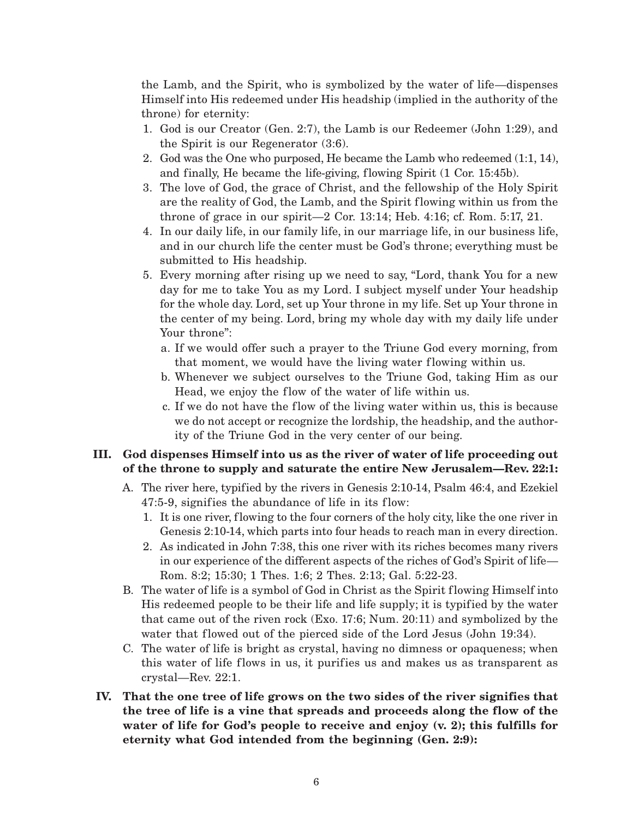the Lamb, and the Spirit, who is symbolized by the water of life—dispenses Himself into His redeemed under His headship (implied in the authority of the throne) for eternity:

- 1. God is our Creator (Gen. 2:7), the Lamb is our Redeemer (John 1:29), and the Spirit is our Regenerator (3:6).
- 2. God was the One who purposed, He became the Lamb who redeemed (1:1, 14), and finally, He became the life-giving, flowing Spirit (1 Cor. 15:45b).
- 3. The love of God, the grace of Christ, and the fellowship of the Holy Spirit are the reality of God, the Lamb, and the Spirit flowing within us from the throne of grace in our spirit—2 Cor. 13:14; Heb. 4:16; cf. Rom. 5:17, 21.
- 4. In our daily life, in our family life, in our marriage life, in our business life, and in our church life the center must be God's throne; everything must be submitted to His headship.
- 5. Every morning after rising up we need to say, "Lord, thank You for a new day for me to take You as my Lord. I subject myself under Your headship for the whole day. Lord, set up Your throne in my life. Set up Your throne in the center of my being. Lord, bring my whole day with my daily life under Your throne":
	- a. If we would offer such a prayer to the Triune God every morning, from that moment, we would have the living water flowing within us.
	- b. Whenever we subject ourselves to the Triune God, taking Him as our Head, we enjoy the flow of the water of life within us.
	- c. If we do not have the flow of the living water within us, this is because we do not accept or recognize the lordship, the headship, and the authority of the Triune God in the very center of our being.

# **III. God dispenses Himself into us as the river of water of life proceeding out of the throne to supply and saturate the entire New Jerusalem—Rev. 22:1:**

- A. The river here, typified by the rivers in Genesis 2:10-14, Psalm 46:4, and Ezekiel 47:5-9, signifies the abundance of life in its flow:
	- 1. It is one river, flowing to the four corners of the holy city, like the one river in Genesis 2:10-14, which parts into four heads to reach man in every direction.
	- 2. As indicated in John 7:38, this one river with its riches becomes many rivers in our experience of the different aspects of the riches of God's Spirit of life— Rom. 8:2; 15:30; 1 Thes. 1:6; 2 Thes. 2:13; Gal. 5:22-23.
- B. The water of life is a symbol of God in Christ as the Spirit flowing Himself into His redeemed people to be their life and life supply; it is typified by the water that came out of the riven rock (Exo. 17:6; Num. 20:11) and symbolized by the water that flowed out of the pierced side of the Lord Jesus (John 19:34).
- C. The water of life is bright as crystal, having no dimness or opaqueness; when this water of life flows in us, it purifies us and makes us as transparent as crystal—Rev. 22:1.
- **IV. That the one tree of life grows on the two sides of the river signifies that the tree of life is a vine that spreads and proceeds along the flow of the water of life for God's people to receive and enjoy (v. 2); this fulfills for eternity what God intended from the beginning (Gen. 2:9):**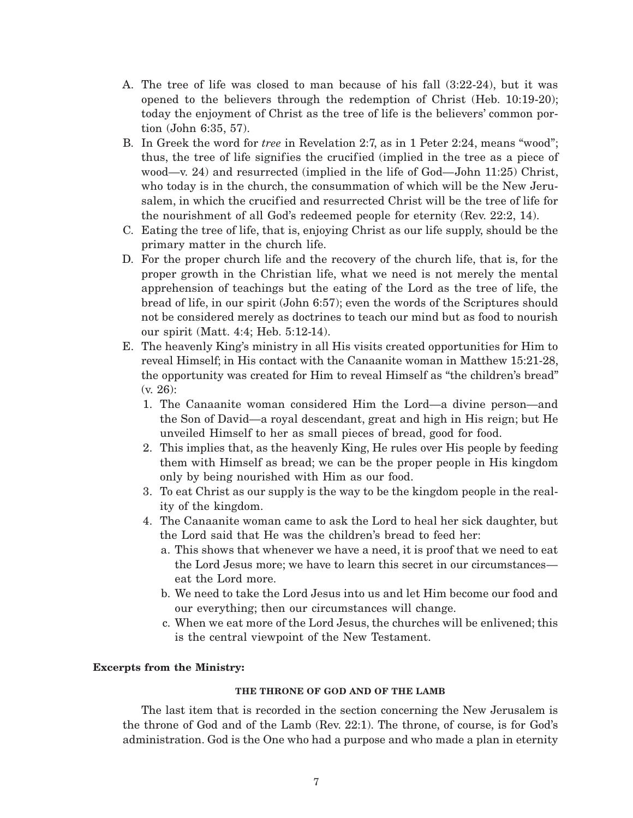- A. The tree of life was closed to man because of his fall (3:22-24), but it was opened to the believers through the redemption of Christ (Heb. 10:19-20); today the enjoyment of Christ as the tree of life is the believers' common portion (John 6:35, 57).
- B. In Greek the word for *tree* in Revelation 2:7, as in 1 Peter 2:24, means "wood"; thus, the tree of life signifies the crucified (implied in the tree as a piece of wood—v. 24) and resurrected (implied in the life of God—John 11:25) Christ, who today is in the church, the consummation of which will be the New Jerusalem, in which the crucified and resurrected Christ will be the tree of life for the nourishment of all God's redeemed people for eternity (Rev. 22:2, 14).
- C. Eating the tree of life, that is, enjoying Christ as our life supply, should be the primary matter in the church life.
- D. For the proper church life and the recovery of the church life, that is, for the proper growth in the Christian life, what we need is not merely the mental apprehension of teachings but the eating of the Lord as the tree of life, the bread of life, in our spirit (John 6:57); even the words of the Scriptures should not be considered merely as doctrines to teach our mind but as food to nourish our spirit (Matt. 4:4; Heb. 5:12-14).
- E. The heavenly King's ministry in all His visits created opportunities for Him to reveal Himself; in His contact with the Canaanite woman in Matthew 15:21-28, the opportunity was created for Him to reveal Himself as "the children's bread"  $(v. 26)$ :
	- 1. The Canaanite woman considered Him the Lord—a divine person—and the Son of David—a royal descendant, great and high in His reign; but He unveiled Himself to her as small pieces of bread, good for food.
	- 2. This implies that, as the heavenly King, He rules over His people by feeding them with Himself as bread; we can be the proper people in His kingdom only by being nourished with Him as our food.
	- 3. To eat Christ as our supply is the way to be the kingdom people in the reality of the kingdom.
	- 4. The Canaanite woman came to ask the Lord to heal her sick daughter, but the Lord said that He was the children's bread to feed her:
		- a. This shows that whenever we have a need, it is proof that we need to eat the Lord Jesus more; we have to learn this secret in our circumstances eat the Lord more.
		- b. We need to take the Lord Jesus into us and let Him become our food and our everything; then our circumstances will change.
		- c. When we eat more of the Lord Jesus, the churches will be enlivened; this is the central viewpoint of the New Testament.

## **Excerpts from the Ministry:**

### **THE THRONE OF GOD AND OF THE LAMB**

The last item that is recorded in the section concerning the New Jerusalem is the throne of God and of the Lamb (Rev. 22:1). The throne, of course, is for God's administration. God is the One who had a purpose and who made a plan in eternity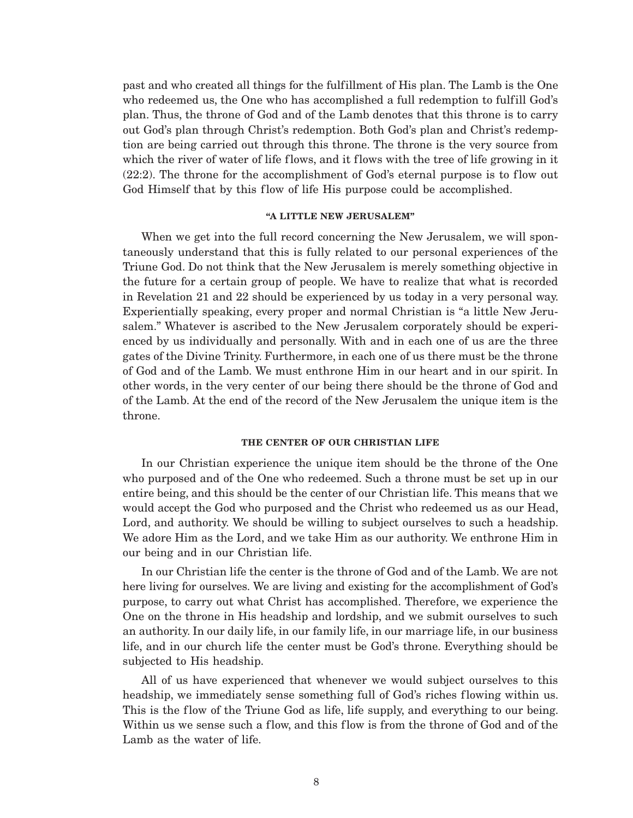past and who created all things for the fulfillment of His plan. The Lamb is the One who redeemed us, the One who has accomplished a full redemption to fulfill God's plan. Thus, the throne of God and of the Lamb denotes that this throne is to carry out God's plan through Christ's redemption. Both God's plan and Christ's redemption are being carried out through this throne. The throne is the very source from which the river of water of life flows, and it flows with the tree of life growing in it (22:2). The throne for the accomplishment of God's eternal purpose is to flow out God Himself that by this flow of life His purpose could be accomplished.

### **"A LITTLE NEW JERUSALEM"**

When we get into the full record concerning the New Jerusalem, we will spontaneously understand that this is fully related to our personal experiences of the Triune God. Do not think that the New Jerusalem is merely something objective in the future for a certain group of people. We have to realize that what is recorded in Revelation 21 and 22 should be experienced by us today in a very personal way. Experientially speaking, every proper and normal Christian is "a little New Jerusalem." Whatever is ascribed to the New Jerusalem corporately should be experienced by us individually and personally. With and in each one of us are the three gates of the Divine Trinity. Furthermore, in each one of us there must be the throne of God and of the Lamb. We must enthrone Him in our heart and in our spirit. In other words, in the very center of our being there should be the throne of God and of the Lamb. At the end of the record of the New Jerusalem the unique item is the throne.

### **THE CENTER OF OUR CHRISTIAN LIFE**

In our Christian experience the unique item should be the throne of the One who purposed and of the One who redeemed. Such a throne must be set up in our entire being, and this should be the center of our Christian life. This means that we would accept the God who purposed and the Christ who redeemed us as our Head, Lord, and authority. We should be willing to subject ourselves to such a headship. We adore Him as the Lord, and we take Him as our authority. We enthrone Him in our being and in our Christian life.

In our Christian life the center is the throne of God and of the Lamb. We are not here living for ourselves. We are living and existing for the accomplishment of God's purpose, to carry out what Christ has accomplished. Therefore, we experience the One on the throne in His headship and lordship, and we submit ourselves to such an authority. In our daily life, in our family life, in our marriage life, in our business life, and in our church life the center must be God's throne. Everything should be subjected to His headship.

All of us have experienced that whenever we would subject ourselves to this headship, we immediately sense something full of God's riches flowing within us. This is the flow of the Triune God as life, life supply, and everything to our being. Within us we sense such a flow, and this flow is from the throne of God and of the Lamb as the water of life.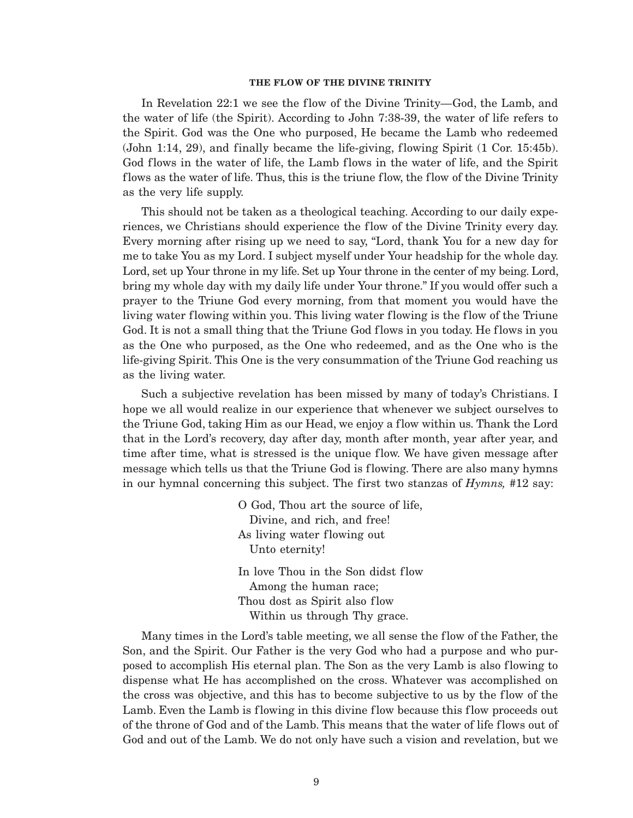#### **THE FLOW OF THE DIVINE TRINITY**

In Revelation 22:1 we see the flow of the Divine Trinity—God, the Lamb, and the water of life (the Spirit). According to John 7:38-39, the water of life refers to the Spirit. God was the One who purposed, He became the Lamb who redeemed (John 1:14, 29), and finally became the life-giving, flowing Spirit (1 Cor. 15:45b). God flows in the water of life, the Lamb flows in the water of life, and the Spirit flows as the water of life. Thus, this is the triune flow, the flow of the Divine Trinity as the very life supply.

This should not be taken as a theological teaching. According to our daily experiences, we Christians should experience the flow of the Divine Trinity every day. Every morning after rising up we need to say, "Lord, thank You for a new day for me to take You as my Lord. I subject myself under Your headship for the whole day. Lord, set up Your throne in my life. Set up Your throne in the center of my being. Lord, bring my whole day with my daily life under Your throne." If you would offer such a prayer to the Triune God every morning, from that moment you would have the living water flowing within you. This living water flowing is the flow of the Triune God. It is not a small thing that the Triune God flows in you today. He flows in you as the One who purposed, as the One who redeemed, and as the One who is the life-giving Spirit. This One is the very consummation of the Triune God reaching us as the living water.

Such a subjective revelation has been missed by many of today's Christians. I hope we all would realize in our experience that whenever we subject ourselves to the Triune God, taking Him as our Head, we enjoy a flow within us. Thank the Lord that in the Lord's recovery, day after day, month after month, year after year, and time after time, what is stressed is the unique flow. We have given message after message which tells us that the Triune God is flowing. There are also many hymns in our hymnal concerning this subject. The first two stanzas of *Hymns,* #12 say:

> O God, Thou art the source of life, Divine, and rich, and free! As living water flowing out Unto eternity! In love Thou in the Son didst flow Among the human race; Thou dost as Spirit also flow

Within us through Thy grace.

Many times in the Lord's table meeting, we all sense the flow of the Father, the Son, and the Spirit. Our Father is the very God who had a purpose and who purposed to accomplish His eternal plan. The Son as the very Lamb is also flowing to dispense what He has accomplished on the cross. Whatever was accomplished on the cross was objective, and this has to become subjective to us by the flow of the Lamb. Even the Lamb is flowing in this divine flow because this flow proceeds out of the throne of God and of the Lamb. This means that the water of life flows out of God and out of the Lamb. We do not only have such a vision and revelation, but we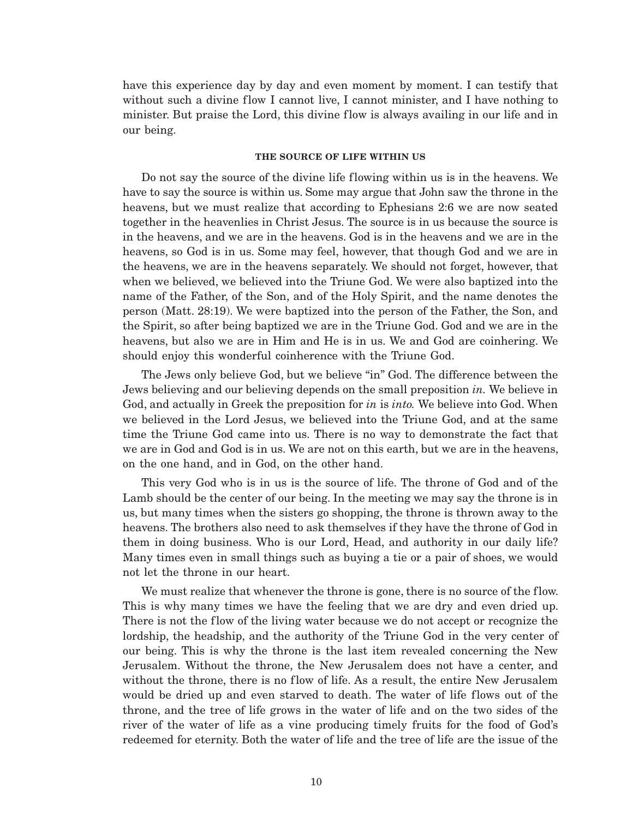have this experience day by day and even moment by moment. I can testify that without such a divine flow I cannot live, I cannot minister, and I have nothing to minister. But praise the Lord, this divine flow is always availing in our life and in our being.

#### **THE SOURCE OF LIFE WITHIN US**

Do not say the source of the divine life flowing within us is in the heavens. We have to say the source is within us. Some may argue that John saw the throne in the heavens, but we must realize that according to Ephesians 2:6 we are now seated together in the heavenlies in Christ Jesus. The source is in us because the source is in the heavens, and we are in the heavens. God is in the heavens and we are in the heavens, so God is in us. Some may feel, however, that though God and we are in the heavens, we are in the heavens separately. We should not forget, however, that when we believed, we believed into the Triune God. We were also baptized into the name of the Father, of the Son, and of the Holy Spirit, and the name denotes the person (Matt. 28:19). We were baptized into the person of the Father, the Son, and the Spirit, so after being baptized we are in the Triune God. God and we are in the heavens, but also we are in Him and He is in us. We and God are coinhering. We should enjoy this wonderful coinherence with the Triune God.

The Jews only believe God, but we believe "in" God. The difference between the Jews believing and our believing depends on the small preposition *in.* We believe in God, and actually in Greek the preposition for *in* is *into.* We believe into God. When we believed in the Lord Jesus, we believed into the Triune God, and at the same time the Triune God came into us. There is no way to demonstrate the fact that we are in God and God is in us. We are not on this earth, but we are in the heavens, on the one hand, and in God, on the other hand.

This very God who is in us is the source of life. The throne of God and of the Lamb should be the center of our being. In the meeting we may say the throne is in us, but many times when the sisters go shopping, the throne is thrown away to the heavens. The brothers also need to ask themselves if they have the throne of God in them in doing business. Who is our Lord, Head, and authority in our daily life? Many times even in small things such as buying a tie or a pair of shoes, we would not let the throne in our heart.

We must realize that whenever the throne is gone, there is no source of the flow. This is why many times we have the feeling that we are dry and even dried up. There is not the flow of the living water because we do not accept or recognize the lordship, the headship, and the authority of the Triune God in the very center of our being. This is why the throne is the last item revealed concerning the New Jerusalem. Without the throne, the New Jerusalem does not have a center, and without the throne, there is no flow of life. As a result, the entire New Jerusalem would be dried up and even starved to death. The water of life flows out of the throne, and the tree of life grows in the water of life and on the two sides of the river of the water of life as a vine producing timely fruits for the food of God's redeemed for eternity. Both the water of life and the tree of life are the issue of the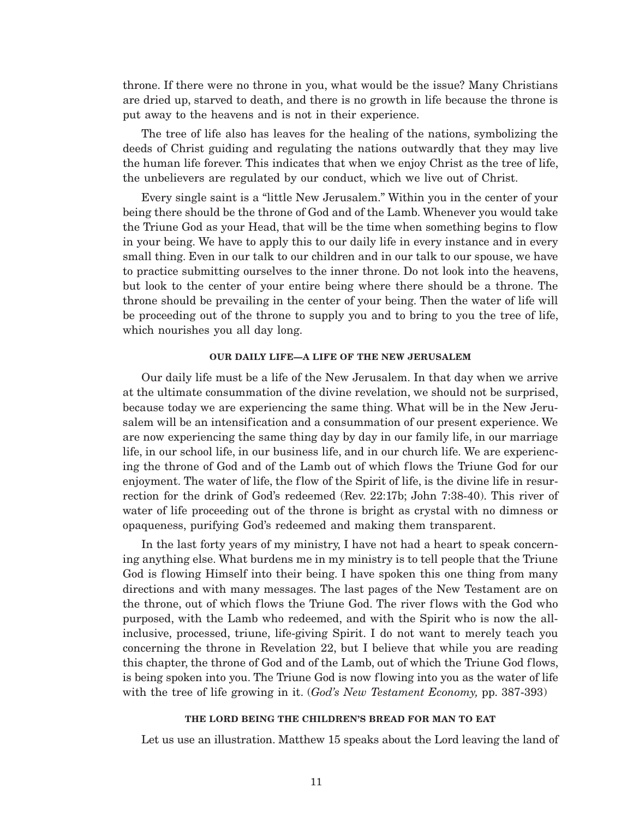throne. If there were no throne in you, what would be the issue? Many Christians are dried up, starved to death, and there is no growth in life because the throne is put away to the heavens and is not in their experience.

The tree of life also has leaves for the healing of the nations, symbolizing the deeds of Christ guiding and regulating the nations outwardly that they may live the human life forever. This indicates that when we enjoy Christ as the tree of life, the unbelievers are regulated by our conduct, which we live out of Christ.

Every single saint is a "little New Jerusalem." Within you in the center of your being there should be the throne of God and of the Lamb. Whenever you would take the Triune God as your Head, that will be the time when something begins to flow in your being. We have to apply this to our daily life in every instance and in every small thing. Even in our talk to our children and in our talk to our spouse, we have to practice submitting ourselves to the inner throne. Do not look into the heavens, but look to the center of your entire being where there should be a throne. The throne should be prevailing in the center of your being. Then the water of life will be proceeding out of the throne to supply you and to bring to you the tree of life, which nourishes you all day long.

#### **OUR DAILY LIFE—A LIFE OF THE NEW JERUSALEM**

Our daily life must be a life of the New Jerusalem. In that day when we arrive at the ultimate consummation of the divine revelation, we should not be surprised, because today we are experiencing the same thing. What will be in the New Jerusalem will be an intensification and a consummation of our present experience. We are now experiencing the same thing day by day in our family life, in our marriage life, in our school life, in our business life, and in our church life. We are experiencing the throne of God and of the Lamb out of which flows the Triune God for our enjoyment. The water of life, the flow of the Spirit of life, is the divine life in resurrection for the drink of God's redeemed (Rev. 22:17b; John 7:38-40). This river of water of life proceeding out of the throne is bright as crystal with no dimness or opaqueness, purifying God's redeemed and making them transparent.

In the last forty years of my ministry, I have not had a heart to speak concerning anything else. What burdens me in my ministry is to tell people that the Triune God is flowing Himself into their being. I have spoken this one thing from many directions and with many messages. The last pages of the New Testament are on the throne, out of which flows the Triune God. The river flows with the God who purposed, with the Lamb who redeemed, and with the Spirit who is now the allinclusive, processed, triune, life-giving Spirit. I do not want to merely teach you concerning the throne in Revelation 22, but I believe that while you are reading this chapter, the throne of God and of the Lamb, out of which the Triune God flows, is being spoken into you. The Triune God is now flowing into you as the water of life with the tree of life growing in it. (*God's New Testament Economy,* pp. 387-393)

#### **THE LORD BEING THE CHILDREN'S BREAD FOR MAN TO EAT**

Let us use an illustration. Matthew 15 speaks about the Lord leaving the land of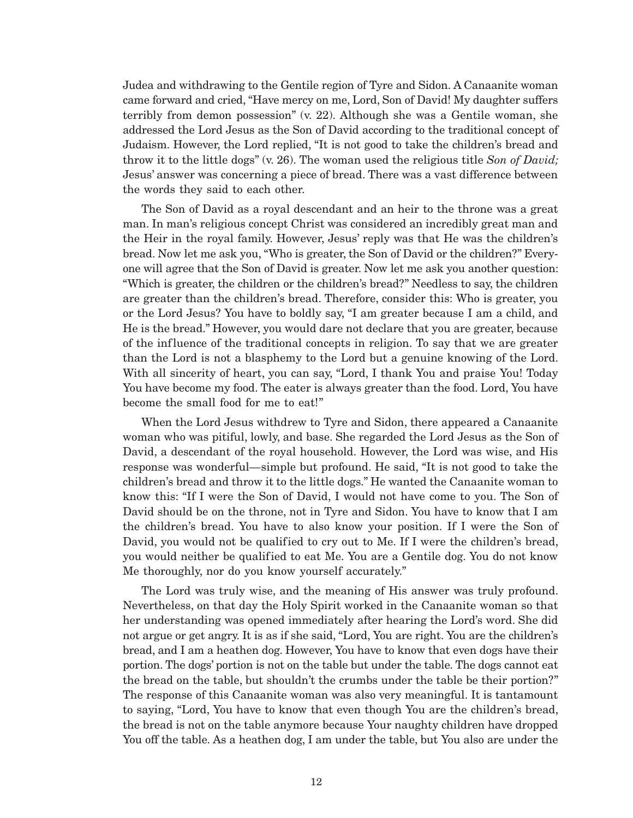Judea and withdrawing to the Gentile region of Tyre and Sidon. A Canaanite woman came forward and cried, "Have mercy on me, Lord, Son of David! My daughter suffers terribly from demon possession" (v. 22). Although she was a Gentile woman, she addressed the Lord Jesus as the Son of David according to the traditional concept of Judaism. However, the Lord replied, "It is not good to take the children's bread and throw it to the little dogs" (v. 26). The woman used the religious title *Son of David;* Jesus' answer was concerning a piece of bread. There was a vast difference between the words they said to each other.

The Son of David as a royal descendant and an heir to the throne was a great man. In man's religious concept Christ was considered an incredibly great man and the Heir in the royal family. However, Jesus' reply was that He was the children's bread. Now let me ask you, "Who is greater, the Son of David or the children?" Everyone will agree that the Son of David is greater. Now let me ask you another question: "Which is greater, the children or the children's bread?" Needless to say, the children are greater than the children's bread. Therefore, consider this: Who is greater, you or the Lord Jesus? You have to boldly say, "I am greater because I am a child, and He is the bread." However, you would dare not declare that you are greater, because of the influence of the traditional concepts in religion. To say that we are greater than the Lord is not a blasphemy to the Lord but a genuine knowing of the Lord. With all sincerity of heart, you can say, "Lord, I thank You and praise You! Today You have become my food. The eater is always greater than the food. Lord, You have become the small food for me to eat!"

When the Lord Jesus withdrew to Tyre and Sidon, there appeared a Canaanite woman who was pitiful, lowly, and base. She regarded the Lord Jesus as the Son of David, a descendant of the royal household. However, the Lord was wise, and His response was wonderful—simple but profound. He said, "It is not good to take the children's bread and throw it to the little dogs." He wanted the Canaanite woman to know this: "If I were the Son of David, I would not have come to you. The Son of David should be on the throne, not in Tyre and Sidon. You have to know that I am the children's bread. You have to also know your position. If I were the Son of David, you would not be qualified to cry out to Me. If I were the children's bread, you would neither be qualified to eat Me. You are a Gentile dog. You do not know Me thoroughly, nor do you know yourself accurately."

The Lord was truly wise, and the meaning of His answer was truly profound. Nevertheless, on that day the Holy Spirit worked in the Canaanite woman so that her understanding was opened immediately after hearing the Lord's word. She did not argue or get angry. It is as if she said, "Lord, You are right. You are the children's bread, and I am a heathen dog. However, You have to know that even dogs have their portion. The dogs' portion is not on the table but under the table. The dogs cannot eat the bread on the table, but shouldn't the crumbs under the table be their portion?" The response of this Canaanite woman was also very meaningful. It is tantamount to saying, "Lord, You have to know that even though You are the children's bread, the bread is not on the table anymore because Your naughty children have dropped You off the table. As a heathen dog, I am under the table, but You also are under the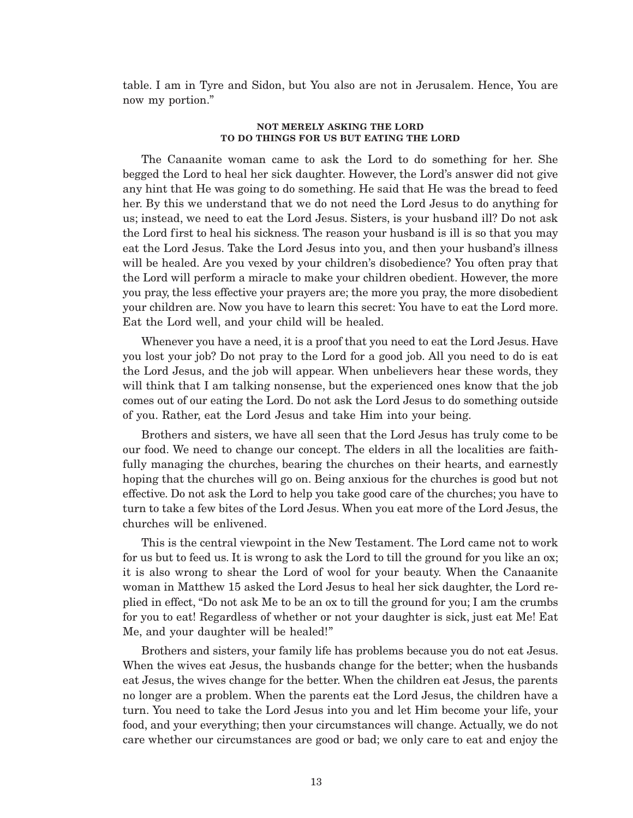table. I am in Tyre and Sidon, but You also are not in Jerusalem. Hence, You are now my portion."

### **NOT MERELY ASKING THE LORD TO DO THINGS FOR US BUT EATING THE LORD**

The Canaanite woman came to ask the Lord to do something for her. She begged the Lord to heal her sick daughter. However, the Lord's answer did not give any hint that He was going to do something. He said that He was the bread to feed her. By this we understand that we do not need the Lord Jesus to do anything for us; instead, we need to eat the Lord Jesus. Sisters, is your husband ill? Do not ask the Lord first to heal his sickness. The reason your husband is ill is so that you may eat the Lord Jesus. Take the Lord Jesus into you, and then your husband's illness will be healed. Are you vexed by your children's disobedience? You often pray that the Lord will perform a miracle to make your children obedient. However, the more you pray, the less effective your prayers are; the more you pray, the more disobedient your children are. Now you have to learn this secret: You have to eat the Lord more. Eat the Lord well, and your child will be healed.

Whenever you have a need, it is a proof that you need to eat the Lord Jesus. Have you lost your job? Do not pray to the Lord for a good job. All you need to do is eat the Lord Jesus, and the job will appear. When unbelievers hear these words, they will think that I am talking nonsense, but the experienced ones know that the job comes out of our eating the Lord. Do not ask the Lord Jesus to do something outside of you. Rather, eat the Lord Jesus and take Him into your being.

Brothers and sisters, we have all seen that the Lord Jesus has truly come to be our food. We need to change our concept. The elders in all the localities are faithfully managing the churches, bearing the churches on their hearts, and earnestly hoping that the churches will go on. Being anxious for the churches is good but not effective. Do not ask the Lord to help you take good care of the churches; you have to turn to take a few bites of the Lord Jesus. When you eat more of the Lord Jesus, the churches will be enlivened.

This is the central viewpoint in the New Testament. The Lord came not to work for us but to feed us. It is wrong to ask the Lord to till the ground for you like an ox; it is also wrong to shear the Lord of wool for your beauty. When the Canaanite woman in Matthew 15 asked the Lord Jesus to heal her sick daughter, the Lord replied in effect, "Do not ask Me to be an ox to till the ground for you; I am the crumbs for you to eat! Regardless of whether or not your daughter is sick, just eat Me! Eat Me, and your daughter will be healed!"

Brothers and sisters, your family life has problems because you do not eat Jesus. When the wives eat Jesus, the husbands change for the better; when the husbands eat Jesus, the wives change for the better. When the children eat Jesus, the parents no longer are a problem. When the parents eat the Lord Jesus, the children have a turn. You need to take the Lord Jesus into you and let Him become your life, your food, and your everything; then your circumstances will change. Actually, we do not care whether our circumstances are good or bad; we only care to eat and enjoy the